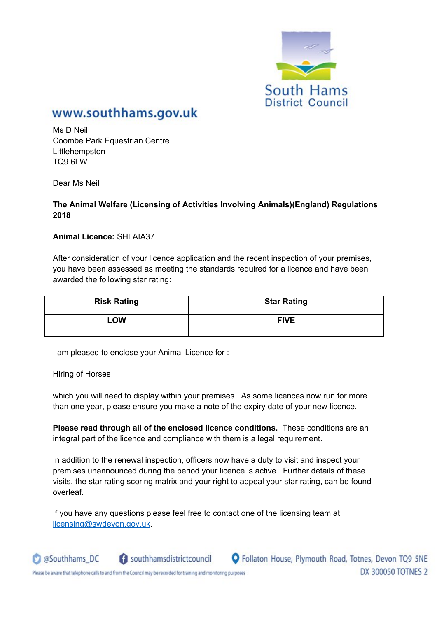

# www.southhams.gov.uk

Ms D Neil Coombe Park Equestrian Centre Littlehempston TQ9 6LW

Dear Ms Neil

#### **The Animal Welfare (Licensing of Activities Involving Animals)(England) Regulations 2018**

**Animal Licence:** SHLAIA37

After consideration of your licence application and the recent inspection of your premises, you have been assessed as meeting the standards required for a licence and have been awarded the following star rating:

| <b>Risk Rating</b> | <b>Star Rating</b> |
|--------------------|--------------------|
| <b>LOW</b>         | <b>FIVE</b>        |

I am pleased to enclose your Animal Licence for :

Hiring of Horses

@Southhams\_DC

which you will need to display within your premises. As some licences now run for more than one year, please ensure you make a note of the expiry date of your new licence.

**Please read through all of the enclosed licence conditions.** These conditions are an integral part of the licence and compliance with them is a legal requirement.

In addition to the renewal inspection, officers now have a duty to visit and inspect your premises unannounced during the period your licence is active. Further details of these visits, the star rating scoring matrix and your right to appeal your star rating, can be found overleaf.

If you have any questions please feel free to contact one of the licensing team at: licensing@swdevon.gov.uk.



Please be aware that telephone calls to and from the Council may be recorded for training and monitoring purposes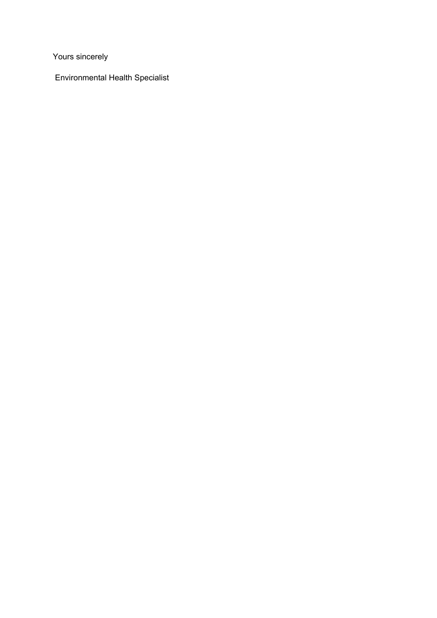Yours sincerely

Environmental Health Specialist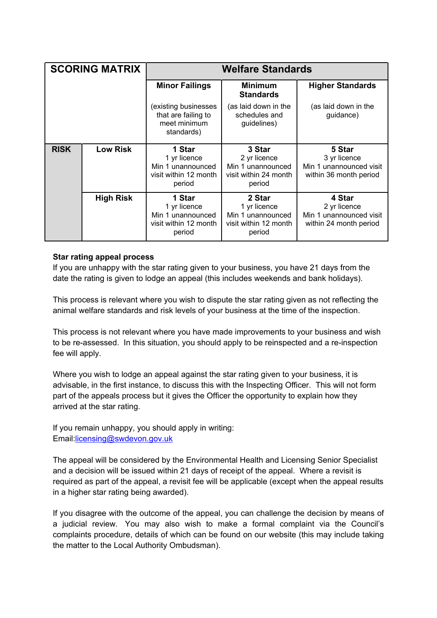| <b>SCORING MATRIX</b> |                  | <b>Welfare Standards</b>                                                       |                                                                                |                                                                             |  |
|-----------------------|------------------|--------------------------------------------------------------------------------|--------------------------------------------------------------------------------|-----------------------------------------------------------------------------|--|
|                       |                  | <b>Minor Failings</b>                                                          | <b>Minimum</b><br><b>Standards</b>                                             | <b>Higher Standards</b>                                                     |  |
|                       |                  | (existing businesses<br>that are failing to<br>meet minimum<br>standards)      | (as laid down in the<br>schedules and<br>guidelines)                           | (as laid down in the<br>guidance)                                           |  |
| <b>RISK</b>           | <b>Low Risk</b>  | 1 Star<br>1 yr licence<br>Min 1 unannounced<br>visit within 12 month<br>period | 3 Star<br>2 yr licence<br>Min 1 unannounced<br>visit within 24 month<br>period | 5 Star<br>3 yr licence<br>Min 1 unannounced visit<br>within 36 month period |  |
|                       | <b>High Risk</b> | 1 Star<br>1 yr licence<br>Min 1 unannounced<br>visit within 12 month<br>period | 2 Star<br>1 yr licence<br>Min 1 unannounced<br>visit within 12 month<br>period | 4 Star<br>2 yr licence<br>Min 1 unannounced visit<br>within 24 month period |  |

### **Star rating appeal process**

If you are unhappy with the star rating given to your business, you have 21 days from the date the rating is given to lodge an appeal (this includes weekends and bank holidays).

This process is relevant where you wish to dispute the star rating given as not reflecting the animal welfare standards and risk levels of your business at the time of the inspection.

This process is not relevant where you have made improvements to your business and wish to be re-assessed. In this situation, you should apply to be reinspected and a re-inspection fee will apply.

Where you wish to lodge an appeal against the star rating given to your business, it is advisable, in the first instance, to discuss this with the Inspecting Officer. This will not form part of the appeals process but it gives the Officer the opportunity to explain how they arrived at the star rating.

If you remain unhappy, you should apply in writing: Email:licensing@swdevon.gov.uk

The appeal will be considered by the Environmental Health and Licensing Senior Specialist and a decision will be issued within 21 days of receipt of the appeal. Where a revisit is required as part of the appeal, a revisit fee will be applicable (except when the appeal results in a higher star rating being awarded).

If you disagree with the outcome of the appeal, you can challenge the decision by means of a judicial review. You may also wish to make a formal complaint via the Council's complaints procedure, details of which can be found on our website (this may include taking the matter to the Local Authority Ombudsman).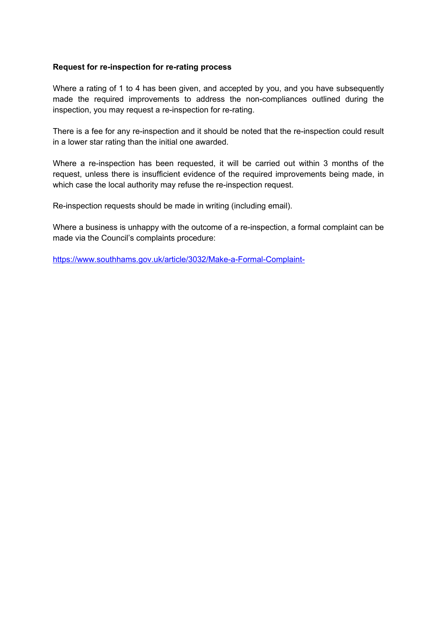#### **Request for re-inspection for re-rating process**

Where a rating of 1 to 4 has been given, and accepted by you, and you have subsequently made the required improvements to address the non-compliances outlined during the inspection, you may request a re-inspection for re-rating.

There is a fee for any re-inspection and it should be noted that the re-inspection could result in a lower star rating than the initial one awarded.

Where a re-inspection has been requested, it will be carried out within 3 months of the request, unless there is insufficient evidence of the required improvements being made, in which case the local authority may refuse the re-inspection request.

Re-inspection requests should be made in writing (including email).

Where a business is unhappy with the outcome of a re-inspection, a formal complaint can be made via the Council's complaints procedure:

https://www.southhams.gov.uk/article/3032/Make-a-Formal-Complaint-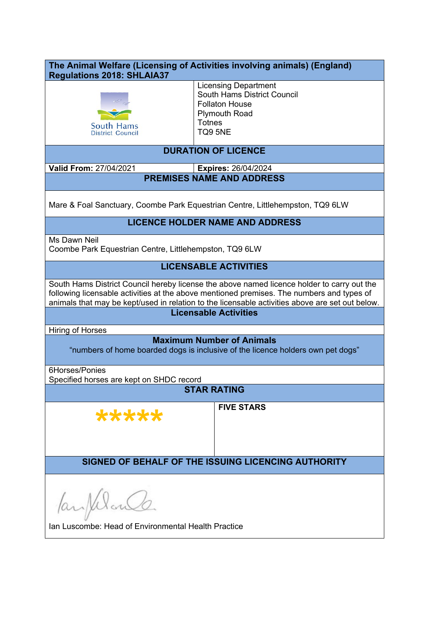| The Animal Welfare (Licensing of Activities involving animals) (England)<br><b>Regulations 2018: SHLAIA37</b>                                                                                                                                                                              |                                                                                                                                         |  |  |  |  |
|--------------------------------------------------------------------------------------------------------------------------------------------------------------------------------------------------------------------------------------------------------------------------------------------|-----------------------------------------------------------------------------------------------------------------------------------------|--|--|--|--|
| <b>South Hams</b><br>District Council                                                                                                                                                                                                                                                      | <b>Licensing Department</b><br>South Hams District Council<br><b>Follaton House</b><br><b>Plymouth Road</b><br><b>Totnes</b><br>TQ9 5NE |  |  |  |  |
| <b>DURATION OF LICENCE</b>                                                                                                                                                                                                                                                                 |                                                                                                                                         |  |  |  |  |
| Valid From: 27/04/2021<br><b>Expires: 26/04/2024</b>                                                                                                                                                                                                                                       |                                                                                                                                         |  |  |  |  |
| <b>PREMISES NAME AND ADDRESS</b>                                                                                                                                                                                                                                                           |                                                                                                                                         |  |  |  |  |
| Mare & Foal Sanctuary, Coombe Park Equestrian Centre, Littlehempston, TQ9 6LW                                                                                                                                                                                                              |                                                                                                                                         |  |  |  |  |
| <b>LICENCE HOLDER NAME AND ADDRESS</b>                                                                                                                                                                                                                                                     |                                                                                                                                         |  |  |  |  |
| Ms Dawn Neil<br>Coombe Park Equestrian Centre, Littlehempston, TQ9 6LW                                                                                                                                                                                                                     |                                                                                                                                         |  |  |  |  |
| <b>LICENSABLE ACTIVITIES</b>                                                                                                                                                                                                                                                               |                                                                                                                                         |  |  |  |  |
| South Hams District Council hereby license the above named licence holder to carry out the<br>following licensable activities at the above mentioned premises. The numbers and types of<br>animals that may be kept/used in relation to the licensable activities above are set out below. |                                                                                                                                         |  |  |  |  |
|                                                                                                                                                                                                                                                                                            | <b>Licensable Activities</b>                                                                                                            |  |  |  |  |
| Hiring of Horses                                                                                                                                                                                                                                                                           |                                                                                                                                         |  |  |  |  |
| <b>Maximum Number of Animals</b><br>"numbers of home boarded dogs is inclusive of the licence holders own pet dogs"                                                                                                                                                                        |                                                                                                                                         |  |  |  |  |
| 6Horses/Ponies<br>Specified horses are kept on SHDC record                                                                                                                                                                                                                                 |                                                                                                                                         |  |  |  |  |
| <b>STAR RATING</b>                                                                                                                                                                                                                                                                         |                                                                                                                                         |  |  |  |  |
| *****                                                                                                                                                                                                                                                                                      | <b>FIVE STARS</b>                                                                                                                       |  |  |  |  |
| SIGNED OF BEHALF OF THE ISSUING LICENCING AUTHORITY                                                                                                                                                                                                                                        |                                                                                                                                         |  |  |  |  |
| ParpelonCo.<br>Ian Luscombe: Head of Environmental Health Practice                                                                                                                                                                                                                         |                                                                                                                                         |  |  |  |  |
|                                                                                                                                                                                                                                                                                            |                                                                                                                                         |  |  |  |  |